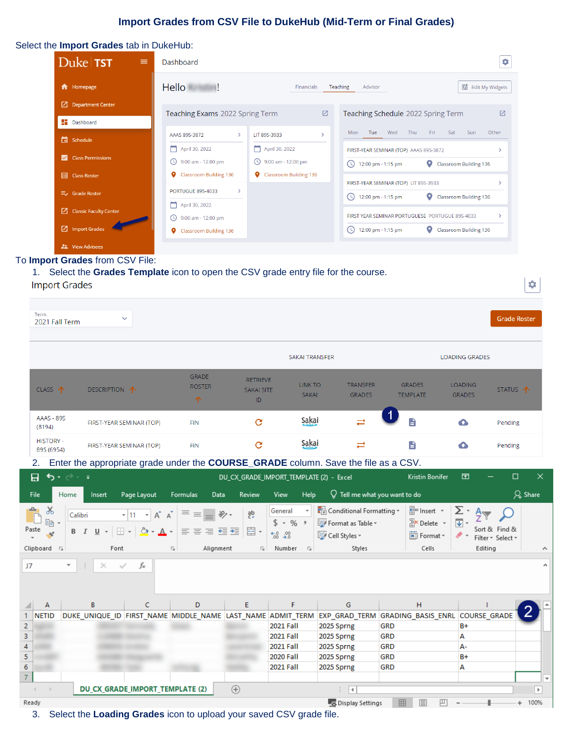# **Import Grades from CSV File to DukeHub (Mid-Term or Final Grades)**

#### Select the **Import Grades** tab in DukeHub:

| Duke <b>TST</b><br>$\equiv$                              | Dashboard                                                                |                                             | 8                                                                                                                  |
|----------------------------------------------------------|--------------------------------------------------------------------------|---------------------------------------------|--------------------------------------------------------------------------------------------------------------------|
| <b>f</b> Homepage                                        | Hello                                                                    | Financials                                  | 11 Edit My Widgets<br>Teaching<br>Advisor                                                                          |
| $\Box$ Department Center<br><b>Dashboard</b>             | Teaching Exams 2022 Spring Term                                          | ☑                                           | $\overline{V}$<br>Teaching Schedule 2022 Spring Term                                                               |
| <b>同</b> Schedule                                        | $\rightarrow$<br>AAAS 89S-3872                                           | LIT 89S-3933<br>$\mathcal{E}$               | Tue<br>Wed<br>Thu<br>Sat<br>Other<br>Fri<br>Sun<br>Mon                                                             |
| <b>Class Permissions</b><br>M                            | April 30, 2022<br>◯ 9:00 am - 12:00 pm                                   | April 30, 2022<br><b>9:00 am - 12:00 pm</b> | FIRST-YEAR SEMINAR (TOP) AAAS 89S-3872<br>12:00 pm - 1:15 pm<br>O<br>Classroom Building 136<br>$\left(\cup\right)$ |
| <b>日 Class Roster</b>                                    | Classroom Building 136<br>۰<br><b>PORTUGUE 89S-4033</b><br>$\mathcal{P}$ | Classroom Building 136                      | FIRST-YEAR SEMINAR (TOP) LIT 89S-3933                                                                              |
| $\equiv$ Grade Roster<br><b>Z</b> Classic Faculty Center | April 30, 2022                                                           |                                             | 12:00 pm - 1:15 pm<br>o<br>Classroom Building 136<br>(1)                                                           |
| 7 Import Grades                                          | 9:00 am - 12:00 pm<br>$\circ$<br>۰<br><b>Classroom Building 136</b>      |                                             | FIRST YEAR SEMINAR PORTUGUESE PORTUGUE 89S-4033<br>o<br>12:00 pm - 1:15 pm<br>Classroom Building 136               |
| <b>22</b> View Advisees                                  |                                                                          |                                             |                                                                                                                    |

#### To **Import Grades** from CSV File:

1. Select the **Grades Template** icon to open the CSV grade entry file for the course.

## **Import Grades**

| Term:<br>2021 Fall Term                   |                                                                                                                 |                                                 |                                                             |                                                                                           |                                                                                                        |                                                           |                                                                                | <b>Grade Roster</b>      |
|-------------------------------------------|-----------------------------------------------------------------------------------------------------------------|-------------------------------------------------|-------------------------------------------------------------|-------------------------------------------------------------------------------------------|--------------------------------------------------------------------------------------------------------|-----------------------------------------------------------|--------------------------------------------------------------------------------|--------------------------|
|                                           |                                                                                                                 |                                                 |                                                             | <b>SAKAI TRANSFER</b>                                                                     |                                                                                                        |                                                           | <b>LOADING GRADES</b>                                                          |                          |
| CLASS 个                                   | DESCRIPTION 1                                                                                                   | <b>GRADE</b><br><b>ROSTER</b><br>$\uparrow$     | <b>RETRIEVE</b><br><b>SAKAI SITE</b><br>ID.                 | <b>LINK TO</b><br><b>SAKAI</b>                                                            | <b>TRANSFER</b><br><b>GRADES</b>                                                                       | <b>GRADES</b><br><b>TEMPLATE</b>                          | <b>LOADING</b><br>STATUS 1<br><b>GRADES</b>                                    |                          |
| <b>AAAS - 89S</b><br>(8194)               | FIRST-YEAR SEMINAR (TOP)                                                                                        | <b>FIN</b>                                      | $\mathbf{C}$                                                | Sakai                                                                                     |                                                                                                        | B                                                         | ≏<br>Pending                                                                   |                          |
| <b>HISTORY -</b><br>89S (6954)            | FIRST-YEAR SEMINAR (TOP)                                                                                        | <b>FIN</b>                                      | $\mathbf{C}$                                                | Sakai                                                                                     | ≓                                                                                                      | B                                                         | ≏<br>Pending                                                                   |                          |
| 2.                                        | Enter the appropriate grade under the COURSE_GRADE column. Save the file as a CSV.                              |                                                 |                                                             |                                                                                           |                                                                                                        |                                                           |                                                                                |                          |
| 日<br>৸ কৰা আ                              |                                                                                                                 |                                                 |                                                             | DU_CX_GRADE_IMPORT_TEMPLATE (2) - Excel                                                   |                                                                                                        | Kristin Bonifer                                           | $\Box$<br>囨                                                                    | ×                        |
| File<br>Home                              | Page Layout<br>Insert                                                                                           | <b>Formulas</b><br>Data                         | <b>Review</b>                                               | <b>View</b><br>Help                                                                       | $\operatorname{\mathsf{Q}}$ Tell me what you want to do                                                |                                                           |                                                                                | $\beta$ Share            |
| $\chi$<br>a,<br>眄<br>Paste<br>Clipboard 5 | $A^{\uparrow} A$<br>$-11$<br>Calibri<br>$\star$<br>$\mathcal{D}$ + $\mathbf{A}$ +<br>삘.<br>$U -$<br>B I<br>Font | 自由电阻器<br>Alignment<br>$\overline{\mathbb{F}_2}$ | ab<br>c<br>$\frac{1}{2}$<br>目・<br>$\overline{\mathbb{F}_2}$ | General<br>$$ - % ^{+}$<br>$6.0$ 0.00<br>0.4 0.0<br>Number<br>$\overline{\mathbb{F}_2}$ . | $\frac{1}{\sqrt{2}}$ Conditional Formatting $\sqrt{ }$<br>Format as Table ~<br>Cell Styles v<br>Styles | 器 Insert *<br>$\frac{m}{n}$ Delete *<br>Format *<br>Cells | Σ٠<br>$\overline{\mathbf{v}}$<br>Sort & Find &<br>Filter * Select *<br>Editing |                          |
| J7                                        | fx<br>$\times$<br>✓                                                                                             |                                                 |                                                             |                                                                                           |                                                                                                        |                                                           |                                                                                | ۸                        |
| A                                         | C<br>B                                                                                                          | D                                               | E                                                           | F                                                                                         | G                                                                                                      | H                                                         |                                                                                |                          |
| 1 NETID                                   | DUKE_UNIQUE_ID FIRST_NAME MIDDLE_NAME  LAST_NAME  ADMIT_TERM  EXP_GRAD_TERM  GRADING_BASIS_ENRL  COURSE_GRADE   |                                                 |                                                             |                                                                                           |                                                                                                        |                                                           |                                                                                |                          |
|                                           |                                                                                                                 |                                                 |                                                             | <b>2021 Fall</b>                                                                          | 2025 Sprng                                                                                             | <b>GRD</b>                                                | B+                                                                             |                          |
|                                           |                                                                                                                 |                                                 |                                                             | <b>2021 Fall</b>                                                                          | 2025 Sprng                                                                                             | <b>GRD</b>                                                | А                                                                              |                          |
|                                           |                                                                                                                 |                                                 |                                                             | <b>2021 Fall</b>                                                                          | 2025 Sprng                                                                                             | <b>GRD</b>                                                | А-                                                                             |                          |
| $\frac{4}{5}$                             |                                                                                                                 |                                                 |                                                             | <b>2020 Fall</b><br><b>2021 Fall</b>                                                      | 2025 Sprng                                                                                             | <b>GRD</b><br><b>GRD</b>                                  | B+                                                                             |                          |
|                                           |                                                                                                                 |                                                 |                                                             |                                                                                           | 2025 Sprng                                                                                             |                                                           | А                                                                              | $\overline{\phantom{a}}$ |
| $\overline{7}$                            | DU_CX_GRADE_IMPORT_TEMPLATE (2)                                                                                 |                                                 | $\bigoplus$                                                 |                                                                                           | ि वि                                                                                                   |                                                           |                                                                                | $\,$                     |
| Ready                                     |                                                                                                                 |                                                 |                                                             |                                                                                           | <b>B</b> Display Settings                                                                              | 囲<br>圓                                                    |                                                                                | 100%                     |

3. Select the **Loading Grades** icon to upload your saved CSV grade file.

 $\bullet$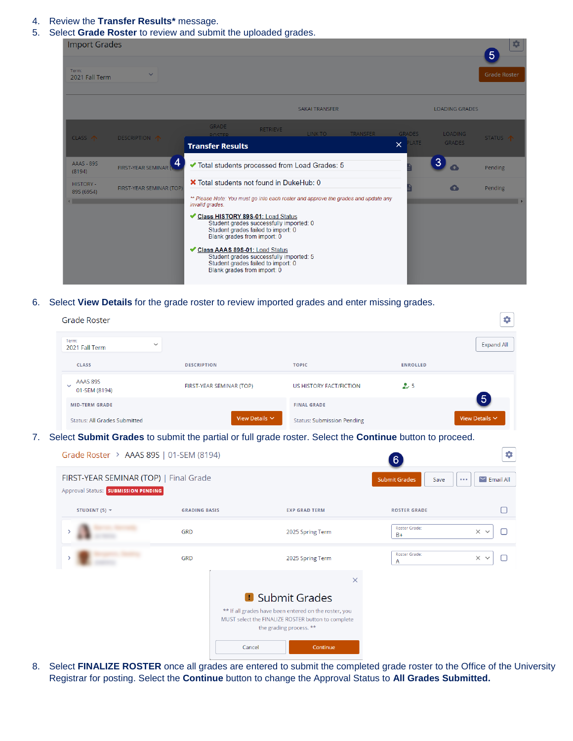- 4. Review the **Transfer Results\*** message.
- 5. Select **Grade Roster** to review and submit the uploaded grades.

| <b>Import Grades</b>                             |                           |                                                                                                                                                                                                                                                                                        |                                                                                                                                                                |                       |          |                                           |                                 | *<br>5              |
|--------------------------------------------------|---------------------------|----------------------------------------------------------------------------------------------------------------------------------------------------------------------------------------------------------------------------------------------------------------------------------------|----------------------------------------------------------------------------------------------------------------------------------------------------------------|-----------------------|----------|-------------------------------------------|---------------------------------|---------------------|
| Term:<br>2021 Fall Term                          | $\checkmark$              |                                                                                                                                                                                                                                                                                        |                                                                                                                                                                |                       |          |                                           |                                 | <b>Grade Roster</b> |
|                                                  |                           |                                                                                                                                                                                                                                                                                        |                                                                                                                                                                | <b>SAKAI TRANSFER</b> |          |                                           | <b>LOADING GRADES</b>           |                     |
| CLASS 个                                          | DESCRIPTION <b>1</b>      | <b>GRADE</b><br><b>ROSTER</b><br><b>Transfer Results</b>                                                                                                                                                                                                                               | <b>RETRIEVE</b>                                                                                                                                                | LINK TO               | TRANSFER | <b>GRADES</b><br><b>PLATE</b><br>$\times$ | <b>LOADING</b><br><b>GRADES</b> | STATUS T            |
| AAAS - 89S<br>(8194)                             | 4<br>FIRST-YEAR SEMINAR ( | ◆ Total students processed from Load Grades: 5                                                                                                                                                                                                                                         |                                                                                                                                                                |                       |          |                                           | 3                               | Pending             |
| <b>HISTORY -</b><br>89S (6954)<br>$\blacksquare$ | FIRST-YEAR SEMINAR (TOP)  | X Total students not found in DukeHub: 0<br>** Please Note: You must go into each roster and approve the grades and update any<br>invalid grades.<br>Class HISTORY 89S-01: Load Status<br>Blank grades from import: 0<br>Class AAAS 89S-01: Load Status<br>Blank grades from import: 0 | Student grades successfully imported: 0<br>Student grades failed to import: 0<br>Student grades successfully imported: 5<br>Student grades failed to import: 0 |                       |          |                                           | Δ                               | Pending             |

6. Select **View Details** for the grade roster to review imported grades and enter missing grades.

| <b>Grade Roster</b>                                                                  |                          |                                                                                                                                                                  |                              | 4                             |
|--------------------------------------------------------------------------------------|--------------------------|------------------------------------------------------------------------------------------------------------------------------------------------------------------|------------------------------|-------------------------------|
| Term:<br>2021 Fall Term                                                              | $\checkmark$             |                                                                                                                                                                  |                              | <b>Expand All</b>             |
| <b>CLASS</b>                                                                         | <b>DESCRIPTION</b>       | <b>TOPIC</b>                                                                                                                                                     | <b>ENROLLED</b>              |                               |
| AAAS 89S<br>01-SEM (8194)                                                            | FIRST-YEAR SEMINAR (TOP) | <b>US HISTORY FACT/FICTION</b>                                                                                                                                   | 25                           |                               |
| <b>MID-TERM GRADE</b>                                                                |                          | <b>FINAL GRADE</b>                                                                                                                                               |                              | $5\phantom{1}$                |
| <b>Status: All Grades Submitted</b>                                                  | View Details $\vee$      | <b>Status: Submission Pending</b>                                                                                                                                |                              | View Details V                |
|                                                                                      |                          | Select Submit Grades to submit the partial or full grade roster. Select the Continue button to proceed.                                                          |                              |                               |
|                                                                                      |                          |                                                                                                                                                                  | 6 <sup>1</sup>               | ٠                             |
| Grade Roster > AAAS 89S   01-SEM (8194)                                              |                          |                                                                                                                                                                  |                              |                               |
|                                                                                      |                          |                                                                                                                                                                  |                              |                               |
| FIRST-YEAR SEMINAR (TOP)   Final Grade<br><b>Approval Status: SUBMISSION PENDING</b> |                          |                                                                                                                                                                  | <b>Submit Grades</b><br>Save | $\bullet$ $\bullet$ $\bullet$ |
| STUDENT (5) $\blacktriangledown$                                                     | <b>GRADING BASIS</b>     | <b>EXP GRAD TERM</b>                                                                                                                                             | <b>ROSTER GRADE</b>          |                               |
|                                                                                      | <b>GRD</b>               | 2025 Spring Term                                                                                                                                                 | Roster Grade:<br>$B+$        | $\times$ $\times$<br>U        |
|                                                                                      | <b>GRD</b>               | 2025 Spring Term                                                                                                                                                 | Roster Grade:<br>Α           | $\times$ $\times$<br>n        |
|                                                                                      |                          | $\times$                                                                                                                                                         |                              |                               |
|                                                                                      |                          |                                                                                                                                                                  |                              |                               |
|                                                                                      |                          | <b>D</b> Submit Grades<br>** If all grades have been entered on the roster, you<br>MUST select the FINALIZE ROSTER button to complete<br>the grading process. ** |                              | $\triangleright$ Email All    |

8. Select **FINALIZE ROSTER** once all grades are entered to submit the completed grade roster to the Office of the University Registrar for posting. Select the **Continue** button to change the Approval Status to **All Grades Submitted.**